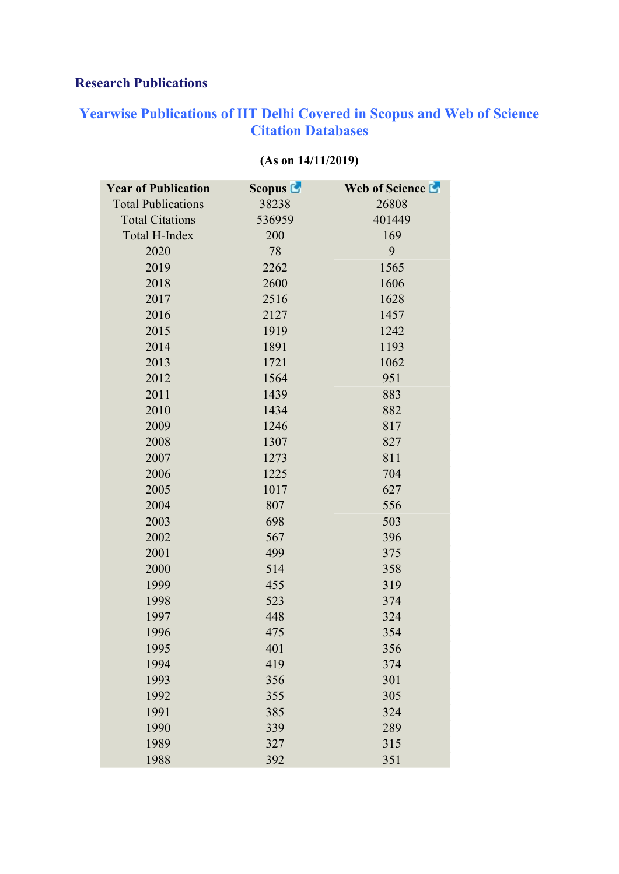## Research Publications

## Yearwise Publications of IIT Delhi Covered in Scopus and Web of Science Citation Databases

| <b>Year of Publication</b> | <b>Scopus L</b> | Web of Science La |  |
|----------------------------|-----------------|-------------------|--|
| <b>Total Publications</b>  | 38238           | 26808             |  |
| <b>Total Citations</b>     | 536959          | 401449            |  |
| Total H-Index              | 200             | 169               |  |
| 2020                       | 78              | 9                 |  |
| 2019                       | 2262            | 1565              |  |
| 2018                       | 2600            | 1606              |  |
| 2017                       | 2516            | 1628              |  |
| 2016                       | 2127            | 1457              |  |
| 2015                       | 1919            | 1242              |  |
| 2014                       | 1891            | 1193              |  |
| 2013                       | 1721            | 1062              |  |
| 2012                       | 1564            | 951               |  |
| 2011                       | 1439            | 883               |  |
| 2010                       | 1434            | 882               |  |
| 2009                       | 1246            | 817               |  |
| 2008                       | 1307            | 827               |  |
| 2007                       | 1273            | 811               |  |
| 2006                       | 1225            | 704               |  |
| 2005                       | 1017            | 627               |  |
| 2004                       | 807             | 556               |  |
| 2003                       | 698             | 503               |  |
| 2002                       | 567             | 396               |  |
| 2001                       | 499             | 375               |  |
| 2000                       | 514             | 358               |  |
| 1999                       | 455             | 319               |  |
| 1998                       | 523             | 374               |  |
| 1997                       | 448             | 324               |  |
| 1996                       | 475             | 354               |  |
| 1995                       | 401             | 356               |  |
| 1994                       | 419             | 374               |  |
| 1993                       | 356             | 301               |  |
| 1992                       | 355             | 305               |  |
| 1991                       | 385             | 324               |  |
| 1990                       | 339             | 289               |  |
| 1989                       | 327             | 315               |  |
| 1988                       | 392             | 351               |  |

## (As on 14/11/2019)